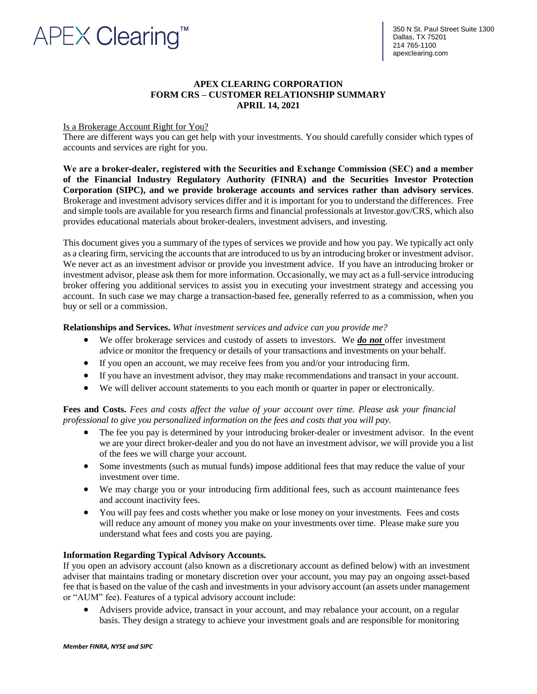# **APEX Clearing"**

## **APEX CLEARING CORPORATION FORM CRS – CUSTOMER RELATIONSHIP SUMMARY APRIL 14, 2021**

## Is a Brokerage Account Right for You?

There are different ways you can get help with your investments. You should carefully consider which types of accounts and services are right for you.

**We are a broker‐dealer, registered with the Securities and Exchange Commission (SEC) and a member of the Financial Industry Regulatory Authority (FINRA) and the Securities Investor Protection Corporation (SIPC), and we provide brokerage accounts and services rather than advisory services**. Brokerage and investment advisory services differ and it is important for you to understand the differences. Free and simple tools are available for you research firms and financial professionals at Investor.gov/CRS, which also provides educational materials about broker-dealers, investment advisers, and investing.

This document gives you a summary of the types of services we provide and how you pay. We typically act only as a clearing firm, servicing the accounts that are introduced to us by an introducing broker or investment advisor. We never act as an investment advisor or provide you investment advice. If you have an introducing broker or investment advisor, please ask them for more information. Occasionally, we may act as a full-service introducing broker offering you additional services to assist you in executing your investment strategy and accessing you account. In such case we may charge a transaction-based fee, generally referred to as a commission, when you buy or sell or a commission.

#### **Relationships and Services.** *What investment services and advice can you provide me?*

- We offer brokerage services and custody of assets to investors. We *do not* offer investment advice or monitor the frequency or details of your transactions and investments on your behalf.
- If you open an account, we may receive fees from you and/or your introducing firm.
- If you have an investment advisor, they may make recommendations and transact in your account.
- We will deliver account statements to you each month or quarter in paper or electronically.

**Fees and Costs.** *Fees and costs affect the value of your account over time. Please ask your financial professional to give you personalized information on the fees and costs that you will pay.*

- The fee you pay is determined by your introducing broker-dealer or investment advisor. In the event we are your direct broker-dealer and you do not have an investment advisor, we will provide you a list of the fees we will charge your account.
- Some investments (such as mutual funds) impose additional fees that may reduce the value of your investment over time.
- We may charge you or your introducing firm additional fees, such as account maintenance fees and account inactivity fees.
- You will pay fees and costs whether you make or lose money on your investments. Fees and costs will reduce any amount of money you make on your investments over time. Please make sure you understand what fees and costs you are paying.

#### **Information Regarding Typical Advisory Accounts.**

If you open an advisory account (also known as a discretionary account as defined below) with an investment adviser that maintains trading or monetary discretion over your account, you may pay an ongoing asset‐based fee that is based on the value of the cash and investments in your advisory account (an assets under management or "AUM" fee). Features of a typical advisory account include:

• Advisers provide advice, transact in your account, and may rebalance your account, on a regular basis. They design a strategy to achieve your investment goals and are responsible for monitoring